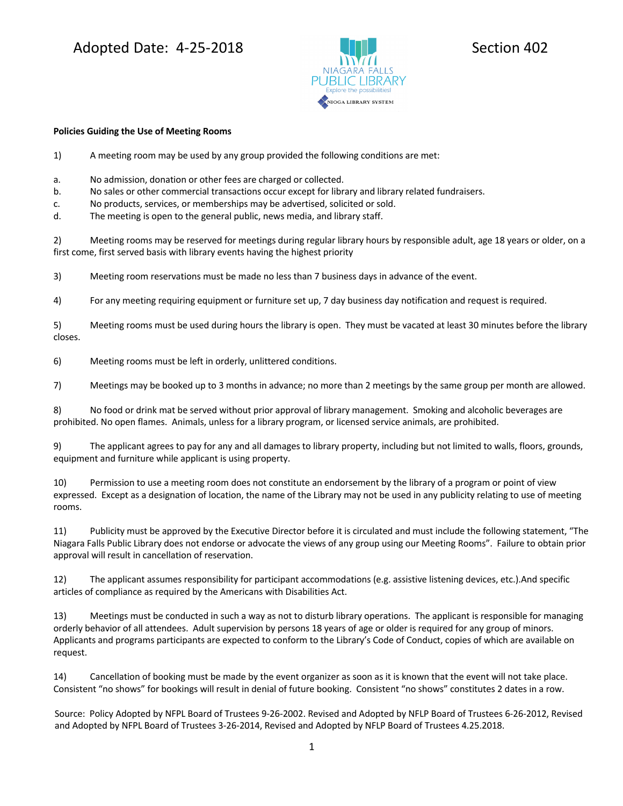## Adopted Date: 4-25-2018 **Section 402**



## **Policies Guiding the Use of Meeting Rooms**

1) A meeting room may be used by any group provided the following conditions are met:

- a. No admission, donation or other fees are charged or collected.
- b. No sales or other commercial transactions occur except for library and library related fundraisers.
- c. No products, services, or memberships may be advertised, solicited or sold.
- d. The meeting is open to the general public, news media, and library staff.

2) Meeting rooms may be reserved for meetings during regular library hours by responsible adult, age 18 years or older, on a first come, first served basis with library events having the highest priority

3) Meeting room reservations must be made no less than 7 business days in advance of the event.

4) For any meeting requiring equipment or furniture set up, 7 day business day notification and request is required.

5) Meeting rooms must be used during hours the library is open. They must be vacated at least 30 minutes before the library closes.

6) Meeting rooms must be left in orderly, unlittered conditions.

7) Meetings may be booked up to 3 months in advance; no more than 2 meetings by the same group per month are allowed.

8) No food or drink mat be served without prior approval of library management. Smoking and alcoholic beverages are prohibited. No open flames. Animals, unless for a library program, or licensed service animals, are prohibited.

9) The applicant agrees to pay for any and all damages to library property, including but not limited to walls, floors, grounds, equipment and furniture while applicant is using property.

10) Permission to use a meeting room does not constitute an endorsement by the library of a program or point of view expressed. Except as a designation of location, the name of the Library may not be used in any publicity relating to use of meeting rooms.

11) Publicity must be approved by the Executive Director before it is circulated and must include the following statement, "The Niagara Falls Public Library does not endorse or advocate the views of any group using our Meeting Rooms". Failure to obtain prior approval will result in cancellation of reservation.

12) The applicant assumes responsibility for participant accommodations (e.g. assistive listening devices, etc.).And specific articles of compliance as required by the Americans with Disabilities Act.

13) Meetings must be conducted in such a way as not to disturb library operations. The applicant is responsible for managing orderly behavior of all attendees. Adult supervision by persons 18 years of age or older is required for any group of minors. Applicants and programs participants are expected to conform to the Library's Code of Conduct, copies of which are available on request.

14) Cancellation of booking must be made by the event organizer as soon as it is known that the event will not take place. Consistent "no shows" for bookings will result in denial of future booking. Consistent "no shows" constitutes 2 dates in a row.

Source: Policy Adopted by NFPL Board of Trustees 9-26-2002. Revised and Adopted by NFLP Board of Trustees 6-26-2012, Revised and Adopted by NFPL Board of Trustees 3-26-2014, Revised and Adopted by NFLP Board of Trustees 4.25.2018.